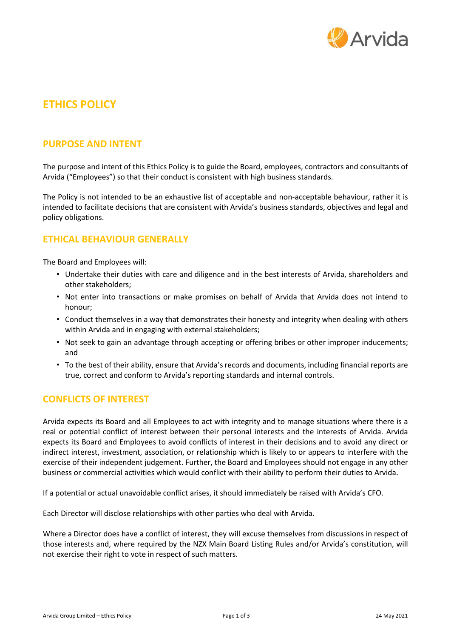

# **ETHICS POLICY**

## **PURPOSE AND INTENT**

The purpose and intent of this Ethics Policy is to guide the Board, employees, contractors and consultants of Arvida ("Employees") so that their conduct is consistent with high business standards.

The Policy is not intended to be an exhaustive list of acceptable and non-acceptable behaviour, rather it is intended to facilitate decisions that are consistent with Arvida's business standards, objectives and legal and policy obligations.

## **ETHICAL BEHAVIOUR GENERALLY**

The Board and Employees will:

- Undertake their duties with care and diligence and in the best interests of Arvida, shareholders and other stakeholders;
- Not enter into transactions or make promises on behalf of Arvida that Arvida does not intend to honour;
- Conduct themselves in a way that demonstrates their honesty and integrity when dealing with others within Arvida and in engaging with external stakeholders;
- Not seek to gain an advantage through accepting or offering bribes or other improper inducements; and
- To the best of their ability, ensure that Arvida's records and documents, including financial reports are true, correct and conform to Arvida's reporting standards and internal controls.

# **CONFLICTS OF INTEREST**

Arvida expects its Board and all Employees to act with integrity and to manage situations where there is a real or potential conflict of interest between their personal interests and the interests of Arvida. Arvida expects its Board and Employees to avoid conflicts of interest in their decisions and to avoid any direct or indirect interest, investment, association, or relationship which is likely to or appears to interfere with the exercise of their independent judgement. Further, the Board and Employees should not engage in any other business or commercial activities which would conflict with their ability to perform their duties to Arvida.

If a potential or actual unavoidable conflict arises, it should immediately be raised with Arvida's CFO.

Each Director will disclose relationships with other parties who deal with Arvida.

Where a Director does have a conflict of interest, they will excuse themselves from discussions in respect of those interests and, where required by the NZX Main Board Listing Rules and/or Arvida's constitution, will not exercise their right to vote in respect of such matters.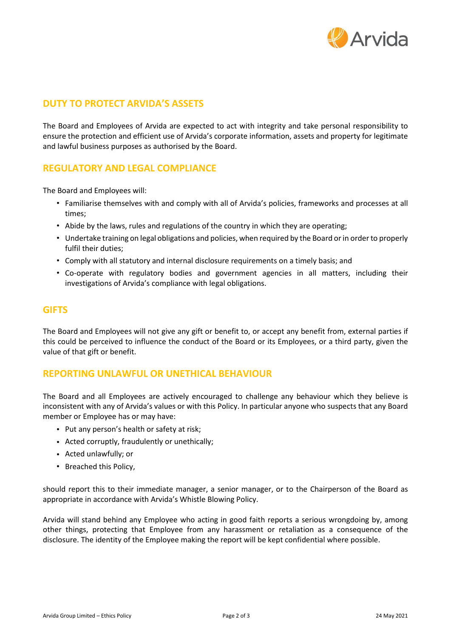

# **DUTY TO PROTECT ARVIDA'S ASSETS**

The Board and Employees of Arvida are expected to act with integrity and take personal responsibility to ensure the protection and efficient use of Arvida's corporate information, assets and property for legitimate and lawful business purposes as authorised by the Board.

# **REGULATORY AND LEGAL COMPLIANCE**

The Board and Employees will:

- Familiarise themselves with and comply with all of Arvida's policies, frameworks and processes at all times;
- Abide by the laws, rules and regulations of the country in which they are operating;
- Undertake training on legal obligations and policies, when required by the Board or in order to properly fulfil their duties;
- Comply with all statutory and internal disclosure requirements on a timely basis; and
- Co-operate with regulatory bodies and government agencies in all matters, including their investigations of Arvida's compliance with legal obligations.

#### **GIFTS**

The Board and Employees will not give any gift or benefit to, or accept any benefit from, external parties if this could be perceived to influence the conduct of the Board or its Employees, or a third party, given the value of that gift or benefit.

### **REPORTING UNLAWFUL OR UNETHICAL BEHAVIOUR**

The Board and all Employees are actively encouraged to challenge any behaviour which they believe is inconsistent with any of Arvida's values or with this Policy. In particular anyone who suspects that any Board member or Employee has or may have:

- Put any person's health or safety at risk;
- Acted corruptly, fraudulently or unethically;
- Acted unlawfully; or
- Breached this Policy,

should report this to their immediate manager, a senior manager, or to the Chairperson of the Board as appropriate in accordance with Arvida's Whistle Blowing Policy.

Arvida will stand behind any Employee who acting in good faith reports a serious wrongdoing by, among other things, protecting that Employee from any harassment or retaliation as a consequence of the disclosure. The identity of the Employee making the report will be kept confidential where possible.